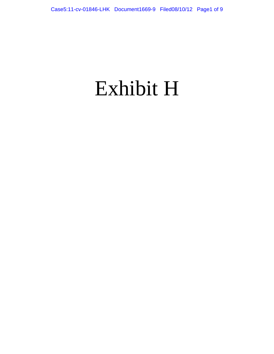# Exhibit H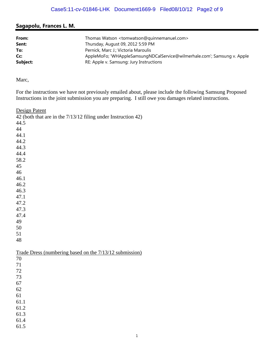## **Sagapolu, Frances L. M.**

| From:<br>Sent: | Thomas Watson <tomwatson@quinnemanuel.com><br/>Thursday, August 09, 2012 5:59 PM</tomwatson@quinnemanuel.com> |
|----------------|---------------------------------------------------------------------------------------------------------------|
| To:            | Pernick, Marc J.; Victoria Maroulis                                                                           |
| Cc:            | AppleMoFo; 'WHAppleSamsungNDCalService@wilmerhale.com'; Samsung v. Apple                                      |
| Subject:       | RE: Apple v. Samsung: Jury Instructions                                                                       |

Marc,

For the instructions we have not previously emailed about, please include the following Samsung Proposed Instructions in the joint submission you are preparing. I still owe you damages related instructions.

Design Patent 42 (both that are in the 7/13/12 filing under Instruction 42) 44.5 44 44.1 44.2 44.3 44.4 58.2 45 46 46.1 46.2 46.3 47.1 47.2 47.3 47.4 49 50 51 48 Trade Dress (numbering based on the 7/13/12 submission) 70 71 72 73 67 62 61 61.1 61.2 61.3 61.4

61.5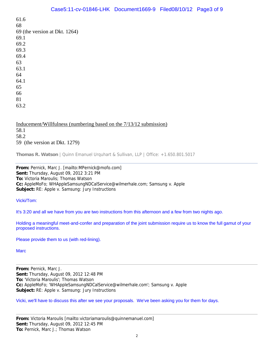61.6 68 69 (the version at Dkt. 1264) 69.1 69.2 69.3 69.4 63 63.1 64 64.1 65 66 81

63.2

Inducement/Willfulness (numbering based on the 7/13/12 submission) 58.1 58.2

59 (the version at Dkt. 1279)

**Thomas R. Watson** | Quinn Emanuel Urquhart & Sullivan, LLP | Office: +1.650.801.5017

**From:** Pernick, Marc J. [mailto:MPernick@mofo.com] **Sent:** Thursday, August 09, 2012 3:21 PM **To:** Victoria Maroulis; Thomas Watson **Cc:** AppleMoFo; WHAppleSamsungNDCalService@wilmerhale.com; Samsung v. Apple **Subject:** RE: Apple v. Samsung: Jury Instructions

Vicki/Tom:

It's 3:20 and all we have from you are two instructions from this afternoon and a few from two nights ago.

Holding a meaningful meet-and-confer and preparation of the joint submission require us to know the full gamut of your proposed instructions.

Please provide them to us (with red-lining).

**Marc** 

**From:** Pernick, Marc J. **Sent:** Thursday, August 09, 2012 12:48 PM **To:** 'Victoria Maroulis'; Thomas Watson **Cc:** AppleMoFo; 'WHAppleSamsungNDCalService@wilmerhale.com'; Samsung v. Apple **Subject:** RE: Apple v. Samsung: Jury Instructions

Vicki, we'll have to discuss this after we see your proposals. We've been asking you for them for days.

**From:** Victoria Maroulis [mailto:victoriamaroulis@quinnemanuel.com] **Sent:** Thursday, August 09, 2012 12:45 PM **To:** Pernick, Marc J.; Thomas Watson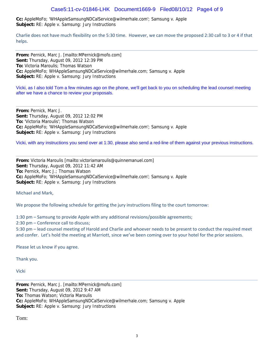#### Case5:11-cv-01846-LHK Document1669-9 Filed08/10/12 Page4 of 9

**Cc:** AppleMoFo; 'WHAppleSamsungNDCalService@wilmerhale.com'; Samsung v. Apple **Subject:** RE: Apple v. Samsung: Jury Instructions

Charlie does not have much flexibility on the 5:30 time. However, we can move the proposed 2:30 call to 3 or 4 if that helps.

**From:** Pernick, Marc J. [mailto:MPernick@mofo.com] **Sent:** Thursday, August 09, 2012 12:39 PM **To:** Victoria Maroulis; Thomas Watson **Cc:** AppleMoFo; WHAppleSamsungNDCalService@wilmerhale.com; Samsung v. Apple **Subject:** RE: Apple v. Samsung: Jury Instructions

Vicki, as I also told Tom a few minutes ago on the phone, we'll get back to you on scheduling the lead counsel meeting after we have a chance to review your proposals.

**From:** Pernick, Marc J. **Sent:** Thursday, August 09, 2012 12:02 PM **To:** 'Victoria Maroulis'; Thomas Watson **Cc:** AppleMoFo; 'WHAppleSamsungNDCalService@wilmerhale.com'; Samsung v. Apple **Subject:** RE: Apple v. Samsung: Jury Instructions

Vicki, with any instructions you send over at 1:30, please also send a red-line of them against your previous instructions.

**From:** Victoria Maroulis [mailto:victoriamaroulis@quinnemanuel.com] **Sent:** Thursday, August 09, 2012 11:42 AM **To:** Pernick, Marc J.; Thomas Watson **Cc:** AppleMoFo; 'WHAppleSamsungNDCalService@wilmerhale.com'; Samsung v. Apple **Subject:** RE: Apple v. Samsung: Jury Instructions

Michael and Mark,

We propose the following schedule for getting the jury instructions filing to the court tomorrow:

1:30 pm – Samsung to provide Apple with any additional revisions/possible agreements;

2:30 pm – Conference call to discuss;

5:30 pm – lead counsel meeting of Harold and Charlie and whoever needs to be present to conduct the required meet and confer. Let's hold the meeting at Marriott, since we've been coming over to your hotel for the prior sessions.

Please let us know if you agree.

Thank you.

Vicki

**From:** Pernick, Marc J. [mailto:MPernick@mofo.com] **Sent:** Thursday, August 09, 2012 9:47 AM **To:** Thomas Watson; Victoria Maroulis **Cc:** AppleMoFo; WHAppleSamsungNDCalService@wilmerhale.com; Samsung v. Apple **Subject:** RE: Apple v. Samsung: Jury Instructions

Tom: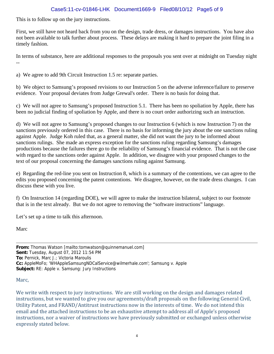## Case5:11-cv-01846-LHK Document1669-9 Filed08/10/12 Page5 of 9

This is to follow up on the jury instructions.

First, we still have not heard back from you on the design, trade dress, or damages instructions. You have also not been available to talk further about process. These delays are making it hard to prepare the joint filing in a timely fashion.

In terms of substance, here are additional responses to the proposals you sent over at midnight on Tuesday night --

a) We agree to add 9th Circuit Instruction 1.5 re: separate parties.

b) We object to Samsung's proposed revisions to our Instruction 5 on the adverse inference/failure to preserve evidence. Your proposal deviates from Judge Grewal's order. There is no basis for doing that.

c) We will not agree to Samsung's proposed Instruction 5.1. There has been no spoliation by Apple, there has been no judicial finding of spoliation by Apple, and there is no court order authorizing such an instruction.

d) We will not agree to Samsung's proposed changes to our Instruction 6 (which is now Instruction 7) on the sanctions previously ordered in this case. There is no basis for informing the jury about the one sanctions ruling against Apple. Judge Koh ruled that, as a general matter, she did not want the jury to be informed about sanctions rulings. She made an express exception for the sanctions ruling regarding Samsung's damages productions because the failures there go to the reliability of Samsung's financial evidence. That is not the case with regard to the sanctions order against Apple. In addition, we disagree with your proposed changes to the text of our proposal concerning the damages sanctions ruling against Samsung.

e) Regarding the red-line you sent on Instruction 8, which is a summary of the contentions, we can agree to the edits you proposed concerning the patent contentions. We disagree, however, on the trade dress changes. I can discuss these with you live.

f) On Instruction 14 (regarding DOE), we will agree to make the instruction bilateral, subject to our footnote that is in the text already. But we do not agree to removing the "software instructions" language.

Let's set up a time to talk this afternoon.

Marc

**From:** Thomas Watson [mailto:tomwatson@quinnemanuel.com] **Sent:** Tuesday, August 07, 2012 11:54 PM **To:** Pernick, Marc J.; Victoria Maroulis **Cc:** AppleMoFo; 'WHAppleSamsungNDCalService@wilmerhale.com'; Samsung v. Apple **Subject:** RE: Apple v. Samsung: Jury Instructions

#### Marc,

We write with respect to jury instructions. We are still working on the design and damages related instructions, but we wanted to give you our agreements/draft proposals on the following General Civil, Utility Patent, and FRAND/Antitrust instructions now in the interests of time. We do not intend this email and the attached instructions to be an exhaustive attempt to address all of Apple's proposed instructions, nor a waiver of instructions we have previously submitted or exchanged unless otherwise expressly stated below.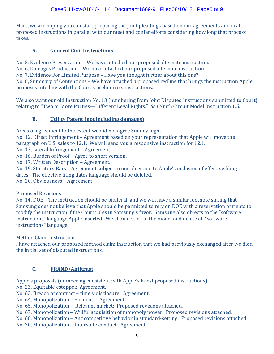Marc, we are hoping you can start preparing the joint pleadings based on our agreements and draft proposed instructions in parallel with our meet and confer efforts considering how long that process takes. 

## **A. General Civil Instructions**

No. 5, Evidence Preservation – We have attached our proposed alternate instruction.

No. 6, Damages Production – We have attached our proposed alternate instruction.

No. 7, Evidence For Limited Purpose – Have you thought further about this one?

No. 8, Summary of Contentions – We have attached a proposed redline that brings the instruction Apple proposes into line with the Court's preliminary instructions.

We also want our old Instruction No. 13 (numbering from Joint Disputed Instructions submitted to Court) relating to "Two or More Parties—Different Legal Rights." See Ninth Circuit Model Instruction 1.5.

# **B. Utility Patent (not including damages)**

Areas of agreement to the extent we did not agree Sunday night

No. 12, Direct Infringement – Agreement based on your representation that Apple will move the paragraph on U.S. sales to 12.1. We will send you a responsive instruction for 12.1.

No. 13, Literal Infringement - Agreement.

No. 16, Burden of Proof – Agree to short version.

No. 17, Written Description - Agreement.

No. 19, Statutory Bars – Agreement subject to our objection to Apple's inclusion of effective filing dates. The effective filing dates language should be deleted.

No. 20, Obviousness - Agreement.

## Proposed Revisions

No. 14, DOE – The instruction should be bilateral, and we will have a similar footnote stating that Samsung does not believe that Apple should be permitted to rely on DOE with a reservation of rights to modify the instruction if the Court rules in Samsung's favor. Samsung also objects to the "software" instructions" language Apple inserted. We should stick to the model and delete all "software instructions" language.

Method Claim Instruction

I have attached our proposed method claim instruction that we had previously exchanged after we filed the initial set of disputed instructions.

# **C. FRAND/Antitrust**

Apple's proposals (numbering consistent with Apple's latest proposed instructions)

No. 23, Equitable estoppel: Agreement.

No. 63, Breach of contract – timely disclosure: Agreement.

No, 64, Monopolization – Elements: Agreement.

No. 65, Monopolization -- Relevant market: Proposed revisions attached.

No. 67, Monopolization – Willful acquisition of monopoly power: Proposed revisions attached.

No. 68, Monopolization – Anticompetitive behavior in standard-setting: Proposed revisions attached.

No. 70, Monopolization—Interstate conduct: Agreement.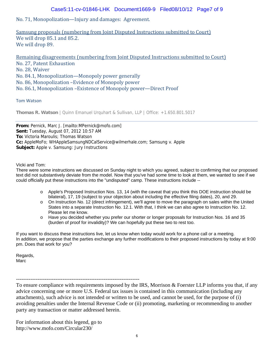#### Case5:11-cv-01846-LHK Document1669-9 Filed08/10/12 Page7 of 9

## No. 71, Monopolization—Injury and damages: Agreement.

Samsung proposals (numbering from Joint Disputed Instructions submitted to Court) We will drop 85.1 and 85.2. We will drop 89.

Remaining disagreements (numbering from Joint Disputed Instructions submitted to Court) No. 27, Patent Exhaustion No. 28, Waiver No. 84.1, Monopolization—Monopoly power generally No. 86, Monopolization -Evidence of Monopoly power No. 86.1, Monopolization – Existence of Monopoly power—Direct Proof

#### Tom Watson

**Thomas R. Watson** | Quinn Emanuel Urquhart & Sullivan, LLP | Office: +1.650.801.5017

**From:** Pernick, Marc J. [mailto:MPernick@mofo.com] **Sent:** Tuesday, August 07, 2012 10:57 AM **To:** Victoria Maroulis; Thomas Watson **Cc:** AppleMoFo; WHAppleSamsungNDCalService@wilmerhale.com; Samsung v. Apple **Subject:** Apple v. Samsung: Jury Instructions

#### Vicki and Tom:

There were some instructions we discussed on Sunday night to which you agreed, subject to confirming that our proposed text did not substantively deviate from the model. Now that you've had some time to look at them, we wanted to see if we could officially put these instructions into the "undisputed" camp. These instructions include --

- o Apple's Proposed Instruction Nos. 13, 14 (with the caveat that you think this DOE instruction should be bilateral), 17, 19 (subject to your objection about including the effective filing dates), 20, and 29.
- o On Instruction No. 12 (direct infringement), we'll agree to move the paragraph on sales within the United States into a separate Instruction No. 12.1. With that, I think we can also agree to Instruction No. 12. Please let me know.
- o Have you decided whether you prefer our shorter or longer proposals for Instruction Nos. 16 and 35 (burden of proof for invalidity)? We can hopefully put these two to rest too.

If you want to discuss these instructions live, let us know when today would work for a phone call or a meeting. In addition, we propose that the parties exchange any further modifications to their proposed instructions by today at 9:00 pm. Does that work for you?

Regards, Marc

---------------------------------------------------------------------

To ensure compliance with requirements imposed by the IRS, Morrison & Foerster LLP informs you that, if any advice concerning one or more U.S. Federal tax issues is contained in this communication (including any attachments), such advice is not intended or written to be used, and cannot be used, for the purpose of (i) avoiding penalties under the Internal Revenue Code or (ii) promoting, marketing or recommending to another party any transaction or matter addressed herein.

For information about this legend, go to http://www.mofo.com/Circular230/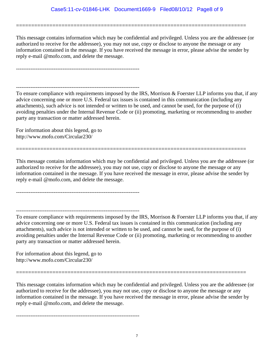This message contains information which may be confidential and privileged. Unless you are the addressee (or authorized to receive for the addressee), you may not use, copy or disclose to anyone the message or any information contained in the message. If you have received the message in error, please advise the sender by reply e-mail @mofo.com, and delete the message.

============================================================================

---------------------------------------------------------------------

To ensure compliance with requirements imposed by the IRS, Morrison & Foerster LLP informs you that, if any advice concerning one or more U.S. Federal tax issues is contained in this communication (including any attachments), such advice is not intended or written to be used, and cannot be used, for the purpose of (i) avoiding penalties under the Internal Revenue Code or (ii) promoting, marketing or recommending to another party any transaction or matter addressed herein.

For information about this legend, go to http://www.mofo.com/Circular230/

This message contains information which may be confidential and privileged. Unless you are the addressee (or authorized to receive for the addressee), you may not use, copy or disclose to anyone the message or any information contained in the message. If you have received the message in error, please advise the sender by reply e-mail @mofo.com, and delete the message.

============================================================================

---------------------------------------------------------------------

---------------------------------------------------------------------

---------------------------------------------------------------------

To ensure compliance with requirements imposed by the IRS, Morrison & Foerster LLP informs you that, if any advice concerning one or more U.S. Federal tax issues is contained in this communication (including any attachments), such advice is not intended or written to be used, and cannot be used, for the purpose of (i) avoiding penalties under the Internal Revenue Code or (ii) promoting, marketing or recommending to another party any transaction or matter addressed herein.

For information about this legend, go to http://www.mofo.com/Circular230/

This message contains information which may be confidential and privileged. Unless you are the addressee (or authorized to receive for the addressee), you may not use, copy or disclose to anyone the message or any information contained in the message. If you have received the message in error, please advise the sender by reply e-mail @mofo.com, and delete the message.

============================================================================

7